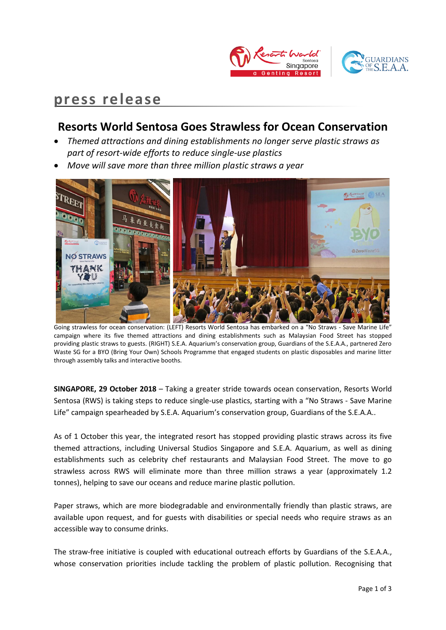

# **press release**

# **Resorts World Sentosa Goes Strawless for Ocean Conservation**

- *Themed attractions and dining establishments no longer serve plastic straws as part of resort-wide efforts to reduce single-use plastics*
- *Move will save more than three million plastic straws a year*



Going strawless for ocean conservation: (LEFT) Resorts World Sentosa has embarked on a "No Straws - Save Marine Life" campaign where its five themed attractions and dining establishments such as Malaysian Food Street has stopped providing plastic straws to guests. (RIGHT) S.E.A. Aquarium's conservation group, Guardians of the S.E.A.A., partnered Zero Waste SG for a BYO (Bring Your Own) Schools Programme that engaged students on plastic disposables and marine litter through assembly talks and interactive booths.

**SINGAPORE, 29 October 2018** – Taking a greater stride towards ocean conservation, Resorts World Sentosa (RWS) is taking steps to reduce single-use plastics, starting with a "No Straws - Save Marine Life" campaign spearheaded by S.E.A. Aquarium's conservation group, Guardians of the S.E.A.A..

As of 1 October this year, the integrated resort has stopped providing plastic straws across its five themed attractions, including Universal Studios Singapore and S.E.A. Aquarium, as well as dining establishments such as celebrity chef restaurants and Malaysian Food Street. The move to go strawless across RWS will eliminate more than three million straws a year (approximately 1.2 tonnes), helping to save our oceans and reduce marine plastic pollution.

Paper straws, which are more biodegradable and environmentally friendly than plastic straws, are available upon request, and for guests with disabilities or special needs who require straws as an accessible way to consume drinks.

The straw-free initiative is coupled with educational outreach efforts by Guardians of the S.E.A.A., whose conservation priorities include tackling the problem of plastic pollution. Recognising that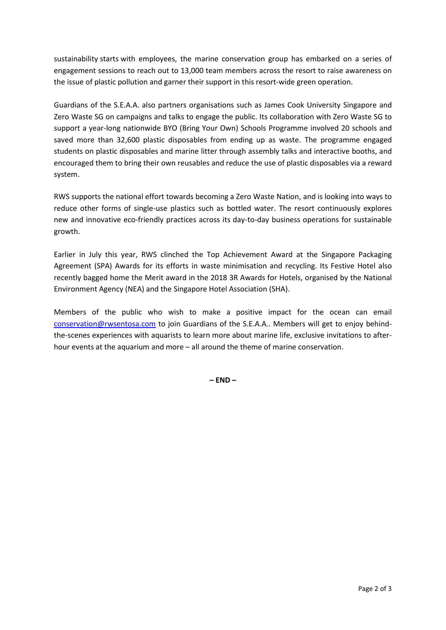sustainability starts with employees, the marine conservation group has embarked on a series of engagement sessions to reach out to 13,000 team members across the resort to raise awareness on the issue of plastic pollution and garner their support in this resort-wide green operation.

Guardians of the S.E.A.A. also partners organisations such as James Cook University Singapore and Zero Waste SG on campaigns and talks to engage the public. Its collaboration with Zero Waste SG to support a year-long nationwide BYO (Bring Your Own) Schools Programme involved 20 schools and saved more than 32,600 plastic disposables from ending up as waste. The programme engaged students on plastic disposables and marine litter through assembly talks and interactive booths, and encouraged them to bring their own reusables and reduce the use of plastic disposables via a reward system.

RWS supports the national effort towards becoming a Zero Waste Nation, and is looking into ways to reduce other forms of single-use plastics such as bottled water. The resort continuously explores new and innovative eco-friendly practices across its day-to-day business operations for sustainable growth.

Earlier in July this year, RWS clinched the Top Achievement Award at the Singapore Packaging Agreement (SPA) Awards for its efforts in waste minimisation and recycling. Its Festive Hotel also recently bagged home the Merit award in the 2018 3R Awards for Hotels, organised by the National Environment Agency (NEA) and the Singapore Hotel Association (SHA).

Members of the public who wish to make a positive impact for the ocean can email [conservation@rwsentosa.com](mailto:conservation@rwsentosa.com) to join Guardians of the S.E.A.A.. Members will get to enjoy behindthe-scenes experiences with aquarists to learn more about marine life, exclusive invitations to afterhour events at the aquarium and more – all around the theme of marine conservation.

**– END –**